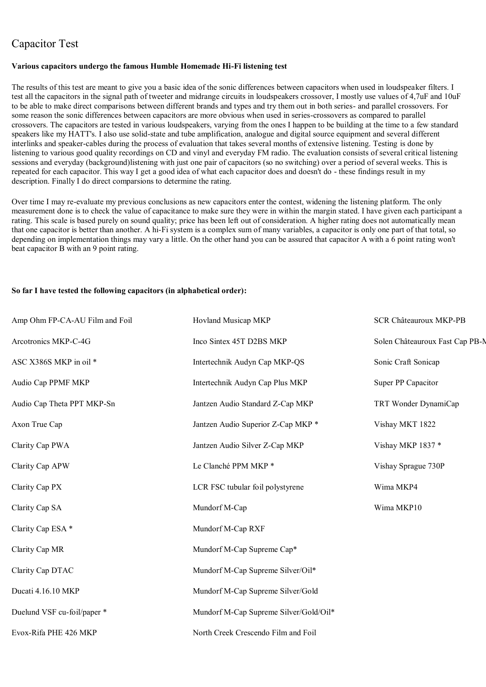# Capacitor Test

#### **Various capacitors undergo the famous Humble Homemade Hi-Fi listening test**

The results of this test are meant to give you a basic idea of the sonic differences between capacitors when used in loudspeaker filters. I test all the capacitors in the signal path of tweeter and midrange circuits in loudspeakers crossover, I mostly use values of 4,7uF and 10uF to be able to make direct comparisons between different brands and types and try them out in both series- and parallel crossovers. For some reason the sonic differences between capacitors are more obvious when used in series-crossovers as compared to parallel crossovers. The capacitors are tested in various loudspeakers, varying from the ones I happen to be building at the time to a few standard speakers like my HATT's. I also use solid-state and tube amplification, analogue and digital source equipment and several different interlinks and speaker-cables during the process of evaluation that takes several months of extensive listening. Testing is done by listening to various good quality recordings on CD and vinyl and everyday FM radio. The evaluation consists of several critical listening sessions and everyday (background)listening with just one pair of capacitors (so no switching) over a period of several weeks. This is repeated for each capacitor. This way I get a good idea of what each capacitor does and doesn't do - these findings result in my description. Finally I do direct comparsions to determine the rating.

Over time I may re-evaluate my previous conclusions as new capacitors enter the contest, widening the listening platform. The only measurement done is to check the value of capacitance to make sure they were in within the margin stated. I have given each participant a rating. This scale is based purely on sound quality; price has been left out of consideration. A higher rating does not automatically mean that one capacitor is better than another. A hi-Fi system is a complex sum of many variables, a capacitor is only one part of that total, so depending on implementation things may vary a little. On the other hand you can be assured that capacitor A with a 6 point rating won't beat capacitor B with an 9 point rating.

#### **So far I have tested the following capacitors (in alphabetical order):**

| Amp Ohm FP-CA-AU Film and Foil | Hovland Musicap MKP                    | <b>SCR Châteauroux MKP-PB</b>   |
|--------------------------------|----------------------------------------|---------------------------------|
| Arcotronics MKP-C-4G           | Inco Sintex 45T D2BS MKP               | Solen Châteauroux Fast Cap PB-N |
| ASC X386S MKP in oil *         | Intertechnik Audyn Cap MKP-QS          | Sonic Craft Sonicap             |
| Audio Cap PPMF MKP             | Intertechnik Audyn Cap Plus MKP        | Super PP Capacitor              |
| Audio Cap Theta PPT MKP-Sn     | Jantzen Audio Standard Z-Cap MKP       | TRT Wonder DynamiCap            |
| Axon True Cap                  | Jantzen Audio Superior Z-Cap MKP *     | Vishay MKT 1822                 |
| Clarity Cap PWA                | Jantzen Audio Silver Z-Cap MKP         | Vishay MKP 1837*                |
| Clarity Cap APW                | Le Clanché PPM MKP *                   | Vishay Sprague 730P             |
| Clarity Cap PX                 | LCR FSC tubular foil polystyrene       | Wima MKP4                       |
| Clarity Cap SA                 | Mundorf M-Cap                          | Wima MKP10                      |
| Clarity Cap ESA *              | Mundorf M-Cap RXF                      |                                 |
| Clarity Cap MR                 | Mundorf M-Cap Supreme Cap*             |                                 |
| Clarity Cap DTAC               | Mundorf M-Cap Supreme Silver/Oil*      |                                 |
| Ducati 4.16.10 MKP             | Mundorf M-Cap Supreme Silver/Gold      |                                 |
| Duelund VSF cu-foil/paper *    | Mundorf M-Cap Supreme Silver/Gold/Oil* |                                 |
| Evox-Rifa PHE 426 MKP          | North Creek Crescendo Film and Foil    |                                 |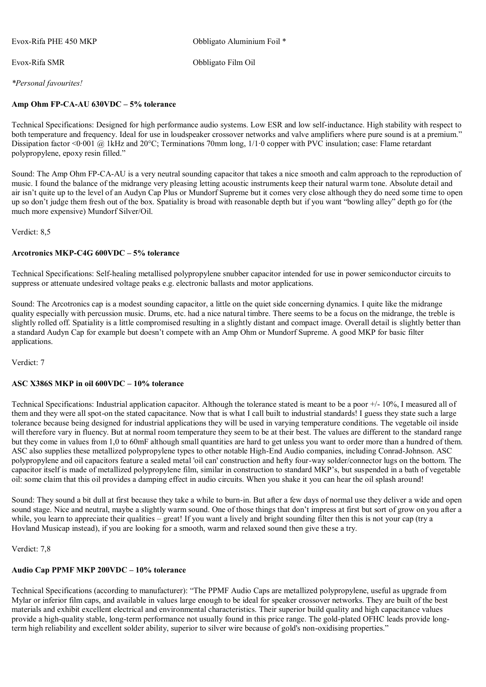Evox-Rifa PHE 450 MKP

Obbligato Aluminium Foil \*

Evox-Rifa SMR

Obbligato Film Oil

#### *\*Personal favourites!*

#### **Amp Ohm FP-CA-AU 630VDC – 5% tolerance**

Technical Specifications: Designed for high performance audio systems. Low ESR and low self-inductance. High stability with respect to both temperature and frequency. Ideal for use in loudspeaker crossover networks and valve amplifiers where pure sound is at a premium." Dissipation factor <0.001 @ 1kHz and 20°C; Terminations 70mm long, 1/1.0 copper with PVC insulation; case: Flame retardant polypropylene, epoxy resin filled."

Sound: The Amp Ohm FP-CA-AU is a very neutral sounding capacitor that takes a nice smooth and calm approach to the reproduction of music. I found the balance of the midrange very pleasing letting acoustic instruments keep their natural warm tone. Absolute detail and air isn't quite up to the level of an Audyn Cap Plus or Mundorf Supreme but it comes very close although they do need some time to open up so don't judge them fresh out of the box. Spatiality is broad with reasonable depth but if you want "bowling alley" depth go for (the much more expensive) Mundorf Silver/Oil.

Verdict: 8,5

#### **Arcotronics MKP-C4G 600VDC – 5% tolerance**

Technical Specifications: Self-healing metallised polypropylene snubber capacitor intended for use in power semiconductor circuits to suppress or attenuate undesired voltage peaks e.g. electronic ballasts and motor applications.

Sound: The Arcotronics cap is a modest sounding capacitor, a little on the quiet side concerning dynamics. I quite like the midrange quality especially with percussion music. Drums, etc. had a nice natural timbre. There seems to be a focus on the midrange, the treble is slightly rolled off. Spatiality is a little compromised resulting in a slightly distant and compact image. Overall detail is slightly better than a standard Audyn Cap for example but doesn't compete with an Amp Ohm or Mundorf Supreme. A good MKP for basic filter applications.

Verdict: 7

#### **ASC X386S MKP in oil 600VDC – 10% tolerance**

Technical Specifications: Industrial application capacitor. Although the tolerance stated is meant to be a poor +/- 10%, I measured all of them and they were all spot-on the stated capacitance. Now that is what I call built to industrial standards! I guess they state such a large tolerance because being designed for industrial applications they will be used in varying temperature conditions. The vegetable oil inside will therefore vary in fluency. But at normal room temperature they seem to be at their best. The values are different to the standard range but they come in values from 1,0 to 60mF although small quantities are hard to get unless you want to order more than a hundred of them. ASC also supplies these metallized polypropylene types to other notable High-End Audio companies, including Conrad-Johnson. ASC polypropylene and oil capacitors feature a sealed metal 'oil can' construction and hefty four-way solder/connector lugs on the bottom. The capacitor itself is made of metallized polypropylene film, similar in construction to standard MKP's, but suspended in a bath of vegetable oil: some claim that this oil provides a damping effect in audio circuits. When you shake it you can hear the oil splash around!

Sound: They sound a bit dull at first because they take a while to burn-in. But after a few days of normal use they deliver a wide and open sound stage. Nice and neutral, maybe a slightly warm sound. One of those things that don't impress at first but sort of grow on you after a while, you learn to appreciate their qualities – great! If you want a lively and bright sounding filter then this is not your cap (try a Hovland Musicap instead), if you are looking for a smooth, warm and relaxed sound then give these a try.

Verdict: 7,8

#### **Audio Cap PPMF MKP 200VDC – 10% tolerance**

Technical Specifications (according to manufacturer): "The PPMF Audio Caps are metallized polypropylene, useful as upgrade from Mylar or inferior film caps, and available in values large enough to be ideal for speaker crossover networks. They are built of the best materials and exhibit excellent electrical and environmental characteristics. Their superior build quality and high capacitance values provide a high-quality stable, long-term performance not usually found in this price range. The gold-plated OFHC leads provide longterm high reliability and excellent solder ability, superior to silver wire because of gold's non-oxidising properties."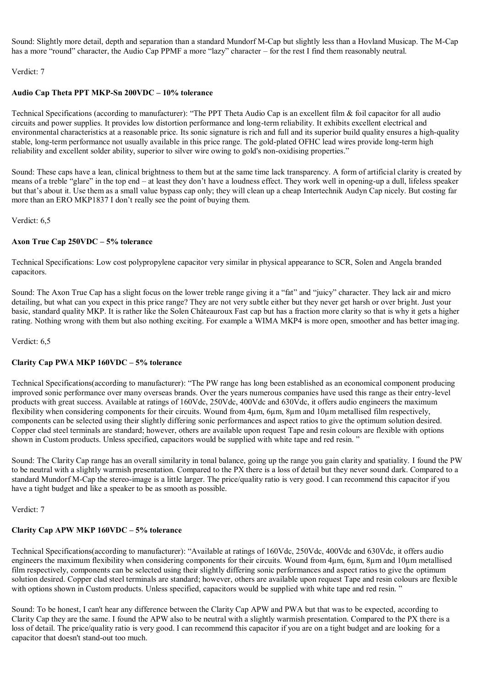Sound: Slightly more detail, depth and separation than a standard Mundorf M-Cap but slightly less than a Hovland Musicap. The M-Cap has a more "round" character, the Audio Cap PPMF a more "lazy" character – for the rest I find them reasonably neutral.

#### Verdict: 7

#### **Audio Cap Theta PPT MKP-Sn 200VDC – 10% tolerance**

Technical Specifications (according to manufacturer): "The PPT Theta Audio Cap is an excellent film & foil capacitor for all audio circuits and power supplies. It provides low distortion performance and long-term reliability. It exhibits excellent electrical and environmental characteristics at a reasonable price. Its sonic signature is rich and full and its superior build quality ensures a high-quality stable, long-term performance not usually available in this price range. The gold-plated OFHC lead wires provide long-term high reliability and excellent solder ability, superior to silver wire owing to gold's non-oxidising properties."

Sound: These caps have a lean, clinical brightness to them but at the same time lack transparency. A form of artificial clarity is created by means of a treble "glare" in the top end – at least they don't have a loudness effect. They work well in opening-up a dull, lifeless speaker but that's about it. Use them as a small value bypass cap only; they will clean up a cheap Intertechnik Audyn Cap nicely. But costing far more than an ERO MKP1837 I don't really see the point of buying them.

Verdict: 6,5

#### **Axon True Cap 250VDC – 5% tolerance**

Technical Specifications: Low cost polypropylene capacitor very similar in physical appearance to SCR, Solen and Angela branded capacitors.

Sound: The Axon True Cap has a slight focus on the lower treble range giving it a "fat" and "juicy" character. They lack air and micro detailing, but what can you expect in this price range? They are not very subtle either but they never get harsh or over bright. Just your basic, standard quality MKP. It is rather like the Solen Châteauroux Fast cap but has a fraction more clarity so that is why it gets a higher rating. Nothing wrong with them but also nothing exciting. For example a WIMA MKP4 is more open, smoother and has better imaging.

Verdict: 6,5

#### **Clarity Cap PWA MKP 160VDC – 5% tolerance**

Technical Specifications(according to manufacturer): "The PW range has long been established as an economical component producing improved sonic performance over many overseas brands. Over the years numerous companies have used this range as their entry-level products with great success. Available at ratings of 160Vdc, 250Vdc, 400Vdc and 630Vdc, it offers audio engineers the maximum flexibility when considering components for their circuits. Wound from 4µm, 6µm, 8µm and 10µm metallised film respectively, components can be selected using their slightly differing sonic performances and aspect ratios to give the optimum solution desired. Copper clad steel terminals are standard; however, others are available upon request Tape and resin colours are flexible with options shown in Custom products. Unless specified, capacitors would be supplied with white tape and red resin. "

Sound: The Clarity Cap range has an overall similarity in tonal balance, going up the range you gain clarity and spatiality. I found the PW to be neutral with a slightly warmish presentation. Compared to the PX there is a loss of detail but they never sound dark. Compared to a standard Mundorf M-Cap the stereo-image is a little larger. The price/quality ratio is very good. I can recommend this capacitor if you have a tight budget and like a speaker to be as smooth as possible.

Verdict: 7

#### **Clarity Cap APW MKP 160VDC – 5% tolerance**

Technical Specifications(according to manufacturer): "Available at ratings of 160Vdc, 250Vdc, 400Vdc and 630Vdc, it offers audio engineers the maximum flexibility when considering components for their circuits. Wound from 4µm, 6µm, 8µm and 10µm metallised film respectively, components can be selected using their slightly differing sonic performances and aspect ratios to give the optimum solution desired. Copper clad steel terminals are standard; however, others are available upon request Tape and resin colours are flexible with options shown in Custom products. Unless specified, capacitors would be supplied with white tape and red resin."

Sound: To be honest, I can't hear any difference between the Clarity Cap APW and PWA but that was to be expected, according to Clarity Cap they are the same. I found the APW also to be neutral with a slightly warmish presentation. Compared to the PX there is a loss of detail. The price/quality ratio is very good. I can recommend this capacitor if you are on a tight budget and are looking for a capacitor that doesn't stand-out too much.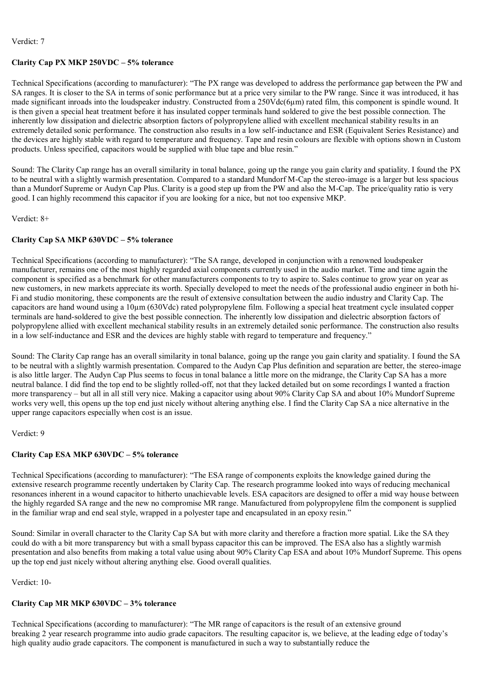# **Clarity Cap PX MKP 250VDC – 5% tolerance**

Technical Specifications (according to manufacturer): "The PX range was developed to address the performance gap between the PW and SA ranges. It is closer to the SA in terms of sonic performance but at a price very similar to the PW range. Since it was introduced, it has made significant inroads into the loudspeaker industry. Constructed from a  $250Vdc(\theta\mu m)$  rated film, this component is spindle wound. It is then given a special heat treatment before it has insulated copper terminals hand soldered to give the best possible connection. The inherently low dissipation and dielectric absorption factors of polypropylene allied with excellent mechanical stability results in an extremely detailed sonic performance. The construction also results in a low self-inductance and ESR (Equivalent Series Resistance) and the devices are highly stable with regard to temperature and frequency. Tape and resin colours are flexible with options shown in Custom products. Unless specified, capacitors would be supplied with blue tape and blue resin."

Sound: The Clarity Cap range has an overall similarity in tonal balance, going up the range you gain clarity and spatiality. I found the PX to be neutral with a slightly warmish presentation. Compared to a standard Mundorf M-Cap the stereo-image is a larger but less spacious than a Mundorf Supreme or Audyn Cap Plus. Clarity is a good step up from the PW and also the M-Cap. The price/quality ratio is very good. I can highly recommend this capacitor if you are looking for a nice, but not too expensive MKP.

# Verdict: 8+

# **Clarity Cap SA MKP 630VDC – 5% tolerance**

Technical Specifications (according to manufacturer): "The SA range, developed in conjunction with a renowned loudspeaker manufacturer, remains one of the most highly regarded axial components currently used in the audio market. Time and time again the component is specified as a benchmark for other manufacturers components to try to aspire to. Sales continue to grow year on year as new customers, in new markets appreciate its worth. Specially developed to meet the needs of the professional audio engineer in both hi-Fi and studio monitoring, these components are the result of extensive consultation between the audio industry and Clarity Cap. The capacitors are hand wound using a  $10 \mu$ m (630Vdc) rated polypropylene film. Following a special heat treatment cycle insulated copper terminals are hand-soldered to give the best possible connection. The inherently low dissipation and dielectric absorption factors of polypropylene allied with excellent mechanical stability results in an extremely detailed sonic performance. The construction also results in a low self-inductance and ESR and the devices are highly stable with regard to temperature and frequency."

Sound: The Clarity Cap range has an overall similarity in tonal balance, going up the range you gain clarity and spatiality. I found the SA to be neutral with a slightly warmish presentation. Compared to the Audyn Cap Plus definition and separation are better, the stereo-image is also little larger. The Audyn Cap Plus seems to focus in tonal balance a little more on the midrange, the Clarity Cap SA has a more neutral balance. I did find the top end to be slightly rolled-off, not that they lacked detailed but on some recordings I wanted a fraction more transparency – but all in all still very nice. Making a capacitor using about 90% Clarity Cap SA and about 10% Mundorf Supreme works very well, this opens up the top end just nicely without altering anything else. I find the Clarity Cap SA a nice alternative in the upper range capacitors especially when cost is an issue.

# Verdict: 9

# **Clarity Cap ESA MKP 630VDC – 5% tolerance**

Technical Specifications (according to manufacturer): "The ESA range of components exploits the knowledge gained during the extensive research programme recently undertaken by Clarity Cap. The research programme looked into ways of reducing mechanical resonances inherent in a wound capacitor to hitherto unachievable levels. ESA capacitors are designed to offer a mid way house between the highly regarded SA range and the new no compromise MR range. Manufactured from polypropylene film the component is supplied in the familiar wrap and end seal style, wrapped in a polyester tape and encapsulated in an epoxy resin."

Sound: Similar in overall character to the Clarity Cap SA but with more clarity and therefore a fraction more spatial. Like the SA they could do with a bit more transparency but with a small bypass capacitor this can be improved. The ESA also has a slightly warmish presentation and also benefits from making a total value using about 90% Clarity Cap ESA and about 10% Mundorf Supreme. This opens up the top end just nicely without altering anything else. Good overall qualities.

Verdict: 10-

# **Clarity Cap MR MKP 630VDC – 3% tolerance**

Technical Specifications (according to manufacturer): "The MR range of capacitors is the result of an extensive ground breaking 2 year research programme into audio grade capacitors. The resulting capacitor is, we believe, at the leading edge of today's high quality audio grade capacitors. The component is manufactured in such a way to substantially reduce the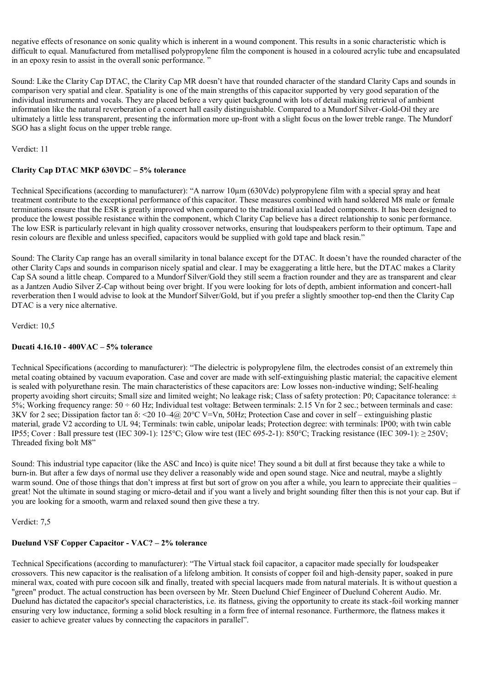negative effects of resonance on sonic quality which is inherent in a wound component. This results in a sonic characteristic which is difficult to equal. Manufactured from metallised polypropylene film the component is housed in a coloured acrylic tube and encapsulated in an epoxy resin to assist in the overall sonic performance. "

Sound: Like the Clarity Cap DTAC, the Clarity Cap MR doesn't have that rounded character of the standard Clarity Caps and sounds in comparison very spatial and clear. Spatiality is one of the main strengths of this capacitor supported by very good separation of the individual instruments and vocals. They are placed before a very quiet background with lots of detail making retrieval of ambient information like the natural reverberation of a concert hall easily distinguishable. Compared to a Mundorf Silver-Gold-Oil they are ultimately a little less transparent, presenting the information more up-front with a slight focus on the lower treble range. The Mundorf SGO has a slight focus on the upper treble range.

Verdict: 11

# **Clarity Cap DTAC MKP 630VDC – 5% tolerance**

Technical Specifications (according to manufacturer): "A narrow 10µm (630Vdc) polypropylene film with a special spray and heat treatment contribute to the exceptional performance of this capacitor. These measures combined with hand soldered M8 male or female terminations ensure that the ESR is greatly improved when compared to the traditional axial leaded components. It has been designed to produce the lowest possible resistance within the component, which Clarity Cap believe has a direct relationship to sonic performance. The low ESR is particularly relevant in high quality crossover networks, ensuring that loudspeakers perform to their optimum. Tape and resin colours are flexible and unless specified, capacitors would be supplied with gold tape and black resin."

Sound: The Clarity Cap range has an overall similarity in tonal balance except for the DTAC. It doesn't have the rounded character of the other Clarity Caps and sounds in comparison nicely spatial and clear. I may be exaggerating a little here, but the DTAC makes a Clarity Cap SA sound a little cheap. Compared to a Mundorf Silver/Gold they still seem a fraction rounder and they are as transparent and clear as a Jantzen Audio Silver Z-Cap without being over bright. If you were looking for lots of depth, ambient information and concert-hall reverberation then I would advise to look at the Mundorf Silver/Gold, but if you prefer a slightly smoother top-end then the Clarity Cap DTAC is a very nice alternative.

Verdict: 10,5

# **Ducati 4.16.10 - 400VAC – 5% tolerance**

Technical Specifications (according to manufacturer): "The dielectric is polypropylene film, the electrodes consist of an extremely thin metal coating obtained by vacuum evaporation. Case and cover are made with self-extinguishing plastic material; the capacitive element is sealed with polyurethane resin. The main characteristics of these capacitors are: Low losses non-inductive winding; Self-healing property avoiding short circuits; Small size and limited weight; No leakage risk; Class of safety protection: P0; Capacitance tolerance: ± 5%; Working frequency range:  $50 \div 60$  Hz; Individual test voltage: Between terminals: 2.15 Vn for 2 sec.; between terminals and case: 3KV for 2 sec; Dissipation factor tan δ: <20 10–4@ 20°C V=Vn, 50Hz; Protection Case and cover in self – extinguishing plastic material, grade V2 according to UL 94; Terminals: twin cable, unipolar leads; Protection degree: with terminals: IP00; with twin cable IP55; Cover : Ball pressure test (IEC 309-1):  $125^{\circ}$ C; Glow wire test (IEC 695-2-1): 850°C; Tracking resistance (IEC 309-1):  $\geq$  250V; Threaded fixing bolt M8"

Sound: This industrial type capacitor (like the ASC and Inco) is quite nice! They sound a bit dull at first because they take a while to burn-in. But after a few days of normal use they deliver a reasonably wide and open sound stage. Nice and neutral, maybe a slightly warm sound. One of those things that don't impress at first but sort of grow on you after a while, you learn to appreciate their qualities – great! Not the ultimate in sound staging or micro-detail and if you want a lively and bright sounding filter then this is not your cap. But if you are looking for a smooth, warm and relaxed sound then give these a try.

Verdict: 7,5

# **Duelund VSF Copper Capacitor - VAC? – 2% tolerance**

Technical Specifications (according to manufacturer): "The Virtual stack foil capacitor, a capacitor made specially for loudspeaker crossovers. This new capacitor is the realisation of a lifelong ambition. It consists of copper foil and high-density paper, soaked in pure mineral wax, coated with pure cocoon silk and finally, treated with special lacquers made from natural materials. It is without question a "green" product. The actual construction has been overseen by Mr. Steen Duelund Chief Engineer of Duelund Coherent Audio. Mr. Duelund has dictated the capacitor's special characteristics, i.e. its flatness, giving the opportunity to create its stack-foil working manner ensuring very low inductance, forming a solid block resulting in a form free of internal resonance. Furthermore, the flatness makes it easier to achieve greater values by connecting the capacitors in parallel".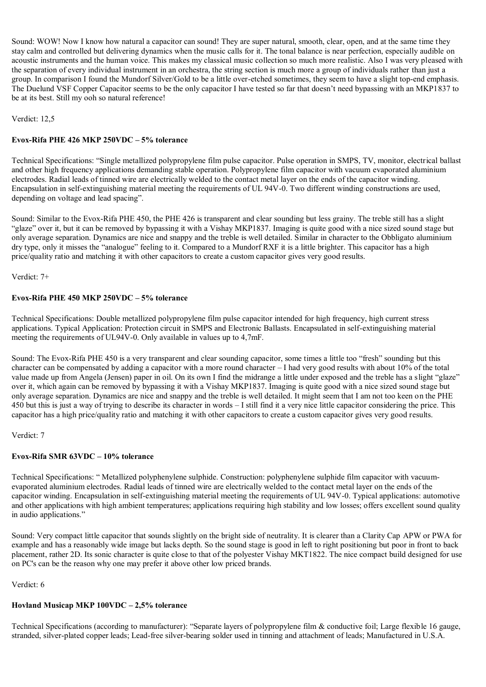Sound: WOW! Now I know how natural a capacitor can sound! They are super natural, smooth, clear, open, and at the same time they stay calm and controlled but delivering dynamics when the music calls for it. The tonal balance is near perfection, especially audible on acoustic instruments and the human voice. This makes my classical music collection so much more realistic. Also I was very pleased with the separation of every individual instrument in an orchestra, the string section is much more a group of individuals rather than just a group. In comparison I found the Mundorf Silver/Gold to be a little over-etched sometimes, they seem to have a slight top-end emphasis. The Duelund VSF Copper Capacitor seems to be the only capacitor I have tested so far that doesn't need bypassing with an MKP1837 to be at its best. Still my ooh so natural reference!

Verdict: 12,5

# **Evox-Rifa PHE 426 MKP 250VDC – 5% tolerance**

Technical Specifications: "Single metallized polypropylene film pulse capacitor. Pulse operation in SMPS, TV, monitor, electrical ballast and other high frequency applications demanding stable operation. Polypropylene film capacitor with vacuum evaporated aluminium electrodes. Radial leads of tinned wire are electrically welded to the contact metal layer on the ends of the capacitor winding. Encapsulation in self-extinguishing material meeting the requirements of UL 94V-0. Two different winding constructions are used, depending on voltage and lead spacing".

Sound: Similar to the Evox-Rifa PHE 450, the PHE 426 is transparent and clear sounding but less grainy. The treble still has a slight "glaze" over it, but it can be removed by bypassing it with a Vishay MKP1837. Imaging is quite good with a nice sized sound stage but only average separation. Dynamics are nice and snappy and the treble is well detailed. Similar in character to the Obbligato aluminium dry type, only it misses the "analogue" feeling to it. Compared to a Mundorf RXF it is a little brighter. This capacitor has a high price/quality ratio and matching it with other capacitors to create a custom capacitor gives very good results.

Verdict: 7+

# **Evox-Rifa PHE 450 MKP 250VDC – 5% tolerance**

Technical Specifications: Double metallized polypropylene film pulse capacitor intended for high frequency, high current stress applications. Typical Application: Protection circuit in SMPS and Electronic Ballasts. Encapsulated in self-extinguishing material meeting the requirements of UL94V-0. Only available in values up to 4,7mF.

Sound: The Evox-Rifa PHE 450 is a very transparent and clear sounding capacitor, some times a little too "fresh" sounding but this character can be compensated by adding a capacitor with a more round character – I had very good results with about 10% of the total value made up from Angela (Jensen) paper in oil. On its own I find the midrange a little under exposed and the treble has a slight "glaze" over it, which again can be removed by bypassing it with a Vishay MKP1837. Imaging is quite good with a nice sized sound stage but only average separation. Dynamics are nice and snappy and the treble is well detailed. It might seem that I am not too keen on the PHE 450 but this is just a way of trying to describe its character in words – I still find it a very nice little capacitor considering the price. This capacitor has a high price/quality ratio and matching it with other capacitors to create a custom capacitor gives very good results.

Verdict: 7

#### **Evox-Rifa SMR 63VDC – 10% tolerance**

Technical Specifications: " Metallized polyphenylene sulphide. Construction: polyphenylene sulphide film capacitor with vacuumevaporated aluminium electrodes. Radial leads of tinned wire are electrically welded to the contact metal layer on the ends of the capacitor winding. Encapsulation in self-extinguishing material meeting the requirements of UL 94V-0. Typical applications: automotive and other applications with high ambient temperatures; applications requiring high stability and low losses; offers excellent sound quality in audio applications."

Sound: Very compact little capacitor that sounds slightly on the bright side of neutrality. It is clearer than a Clarity Cap APW or PWA for example and has a reasonably wide image but lacks depth. So the sound stage is good in left to right positioning but poor in front to back placement, rather 2D. Its sonic character is quite close to that of the polyester Vishay MKT1822. The nice compact build designed for use on PC's can be the reason why one may prefer it above other low priced brands.

Verdict: 6

# **Hovland Musicap MKP 100VDC – 2,5% tolerance**

Technical Specifications (according to manufacturer): "Separate layers of polypropylene film & conductive foil; Large flexible 16 gauge, stranded, silver-plated copper leads; Lead-free silver-bearing solder used in tinning and attachment of leads; Manufactured in U.S.A.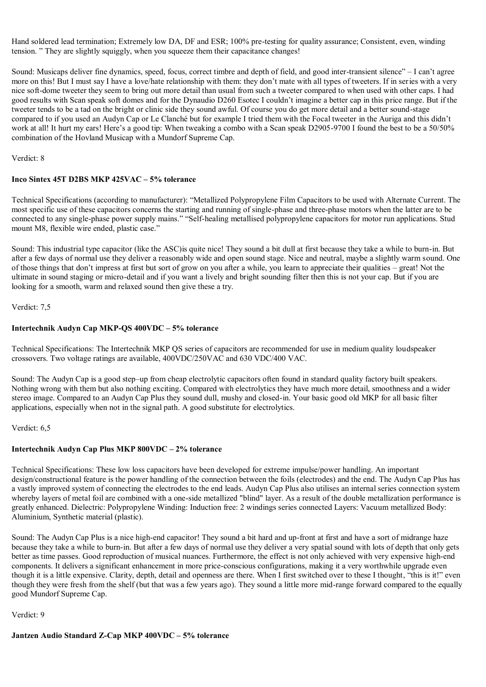Hand soldered lead termination; Extremely low DA, DF and ESR; 100% pre-testing for quality assurance; Consistent, even, winding tension. " They are slightly squiggly, when you squeeze them their capacitance changes!

Sound: Musicaps deliver fine dynamics, speed, focus, correct timbre and depth of field, and good inter-transient silence" – I can't agree more on this! But I must say I have a love/hate relationship with them: they don't mate with all types of tweeters. If in series with a very nice soft-dome tweeter they seem to bring out more detail than usual from such a tweeter compared to when used with other caps. I had good results with Scan speak soft domes and for the Dynaudio D260 Esotec I couldn't imagine a better cap in this price range. But if the tweeter tends to be a tad on the bright or clinic side they sound awful. Of course you do get more detail and a better sound-stage compared to if you used an Audyn Cap or Le Clanché but for example I tried them with the Focal tweeter in the Auriga and this didn't work at all! It hurt my ears! Here's a good tip: When tweaking a combo with a Scan speak D2905-9700 I found the best to be a 50/50% combination of the Hovland Musicap with a Mundorf Supreme Cap.

Verdict: 8

### **Inco Sintex 45T D2BS MKP 425VAC – 5% tolerance**

Technical Specifications (according to manufacturer): "Metallized Polypropylene Film Capacitors to be used with Alternate Current. The most specific use of these capacitors concerns the starting and running of single-phase and three-phase motors when the latter are to be connected to any single-phase power supply mains." "Self-healing metallised polypropylene capacitors for motor run applications. Stud mount M8, flexible wire ended, plastic case."

Sound: This industrial type capacitor (like the ASC)is quite nice! They sound a bit dull at first because they take a while to burn-in. But after a few days of normal use they deliver a reasonably wide and open sound stage. Nice and neutral, maybe a slightly warm sound. One of those things that don't impress at first but sort of grow on you after a while, you learn to appreciate their qualities – great! Not the ultimate in sound staging or micro-detail and if you want a lively and bright sounding filter then this is not your cap. But if you are looking for a smooth, warm and relaxed sound then give these a try.

Verdict: 7,5

#### **Intertechnik Audyn Cap MKP-QS 400VDC – 5% tolerance**

Technical Specifications: The Intertechnik MKP QS series of capacitors are recommended for use in medium quality loudspeaker crossovers. Two voltage ratings are available, 400VDC/250VAC and 630 VDC/400 VAC.

Sound: The Audyn Cap is a good step–up from cheap electrolytic capacitors often found in standard quality factory built speakers. Nothing wrong with them but also nothing exciting. Compared with electrolytics they have much more detail, smoothness and a wider stereo image. Compared to an Audyn Cap Plus they sound dull, mushy and closed-in. Your basic good old MKP for all basic filter applications, especially when not in the signal path. A good substitute for electrolytics.

#### Verdict: 6,5

# **Intertechnik Audyn Cap Plus MKP 800VDC – 2% tolerance**

Technical Specifications: These low loss capacitors have been developed for extreme impulse/power handling. An important design/constructional feature is the power handling of the connection between the foils (electrodes) and the end. The Audyn Cap Plus has a vastly improved system of connecting the electrodes to the end leads. Audyn Cap Plus also utilises an internal series connection system whereby layers of metal foil are combined with a one-side metallized "blind" layer. As a result of the double metallization performance is greatly enhanced. Dielectric: Polypropylene Winding: Induction free: 2 windings series connected Layers: Vacuum metallized Body: Aluminium, Synthetic material (plastic).

Sound: The Audyn Cap Plus is a nice high-end capacitor! They sound a bit hard and up-front at first and have a sort of midrange haze because they take a while to burn-in. But after a few days of normal use they deliver a very spatial sound with lots of depth that only gets better as time passes. Good reproduction of musical nuances. Furthermore, the effect is not only achieved with very expensive high-end components. It delivers a significant enhancement in more price-conscious configurations, making it a very worthwhile upgrade even though it is a little expensive. Clarity, depth, detail and openness are there. When I first switched over to these I thought, "this is it!" even though they were fresh from the shelf (but that was a few years ago). They sound a little more mid-range forward compared to the equally good Mundorf Supreme Cap.

Verdict: 9

**Jantzen Audio Standard Z-Cap MKP 400VDC – 5% tolerance**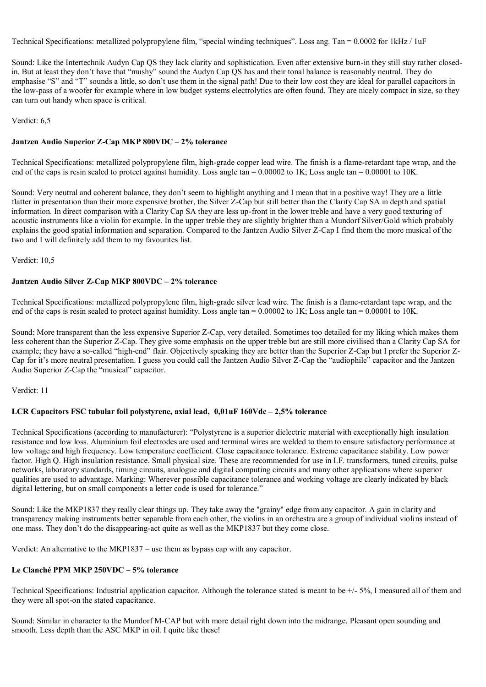Technical Specifications: metallized polypropylene film, "special winding techniques". Loss ang. Tan = 0.0002 for 1kHz / 1uF

Sound: Like the Intertechnik Audyn Cap QS they lack clarity and sophistication. Even after extensive burn-in they still stay rather closedin. But at least they don't have that "mushy" sound the Audyn Cap QS has and their tonal balance is reasonably neutral. They do emphasise "S" and "T" sounds a little, so don't use them in the signal path! Due to their low cost they are ideal for parallel capacitors in the low-pass of a woofer for example where in low budget systems electrolytics are often found. They are nicely compact in size, so they can turn out handy when space is critical.

Verdict: 6,5

# **Jantzen Audio Superior Z-Cap MKP 800VDC – 2% tolerance**

Technical Specifications: metallized polypropylene film, high-grade copper lead wire. The finish is a flame-retardant tape wrap, and the end of the caps is resin sealed to protect against humidity. Loss angle  $\tan = 0.00002$  to 1K; Loss angle  $\tan = 0.00001$  to 10K.

Sound: Very neutral and coherent balance, they don't seem to highlight anything and I mean that in a positive way! They are a little flatter in presentation than their more expensive brother, the Silver Z-Cap but still better than the Clarity Cap SA in depth and spatial information. In direct comparison with a Clarity Cap SA they are less up-front in the lower treble and have a very good texturing of acoustic instruments like a violin for example. In the upper treble they are slightly brighter than a Mundorf Silver/Gold which probably explains the good spatial information and separation. Compared to the Jantzen Audio Silver Z-Cap I find them the more musical of the two and I will definitely add them to my favourites list.

Verdict: 10,5

# **Jantzen Audio Silver Z-Cap MKP 800VDC – 2% tolerance**

Technical Specifications: metallized polypropylene film, high-grade silver lead wire. The finish is a flame-retardant tape wrap, and the end of the caps is resin sealed to protect against humidity. Loss angle tan  $= 0.00002$  to 1K; Loss angle tan  $= 0.00001$  to 10K.

Sound: More transparent than the less expensive Superior Z-Cap, very detailed. Sometimes too detailed for my liking which makes them less coherent than the Superior Z-Cap. They give some emphasis on the upper treble but are still more civilised than a Clarity Cap SA for example; they have a so-called "high-end" flair. Objectively speaking they are better than the Superior Z-Cap but I prefer the Superior Z-Cap for it's more neutral presentation. I guess you could call the Jantzen Audio Silver Z-Cap the "audiophile" capacitor and the Jantzen Audio Superior Z-Cap the "musical" capacitor.

Verdict: 11

#### **LCR Capacitors FSC tubular foil polystyrene, axial lead, 0,01uF 160Vdc – 2,5% tolerance**

Technical Specifications (according to manufacturer): "Polystyrene is a superior dielectric material with exceptionally high insulation resistance and low loss. Aluminium foil electrodes are used and terminal wires are welded to them to ensure satisfactory performance at low voltage and high frequency. Low temperature coefficient. Close capacitance tolerance. Extreme capacitance stability. Low power factor. High Q. High insulation resistance. Small physical size. These are recommended for use in I.F. transformers, tuned circuits, pulse networks, laboratory standards, timing circuits, analogue and digital computing circuits and many other applications where superior qualities are used to advantage. Marking: Wherever possible capacitance tolerance and working voltage are clearly indicated by black digital lettering, but on small components a letter code is used for tolerance."

Sound: Like the MKP1837 they really clear things up. They take away the "grainy" edge from any capacitor. A gain in clarity and transparency making instruments better separable from each other, the violins in an orchestra are a group of individual violins instead of one mass. They don't do the disappearing-act quite as well as the MKP1837 but they come close.

Verdict: An alternative to the MKP1837 – use them as bypass cap with any capacitor.

# **Le Clanché PPM MKP 250VDC – 5% tolerance**

Technical Specifications: Industrial application capacitor. Although the tolerance stated is meant to be +/- 5%, I measured all of them and they were all spot-on the stated capacitance.

Sound: Similar in character to the Mundorf M-CAP but with more detail right down into the midrange. Pleasant open sounding and smooth. Less depth than the ASC MKP in oil. I quite like these!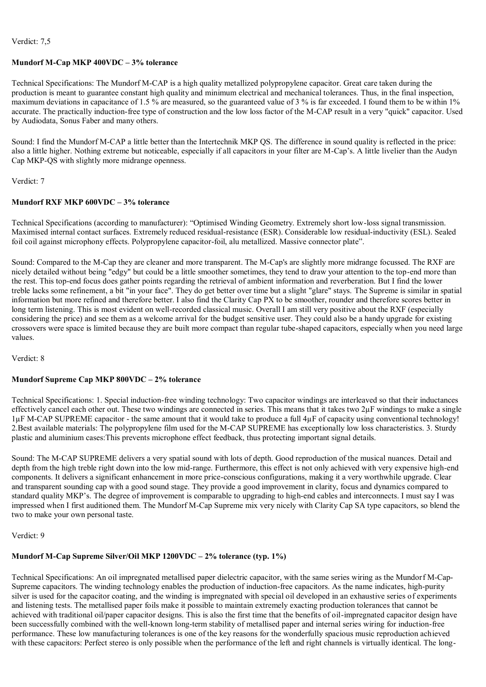#### Verdict: 7,5

#### **Mundorf M-Cap MKP 400VDC – 3% tolerance**

Technical Specifications: The Mundorf M-CAP is a high quality metallized polypropylene capacitor. Great care taken during the production is meant to guarantee constant high quality and minimum electrical and mechanical tolerances. Thus, in the final inspection, maximum deviations in capacitance of 1.5 % are measured, so the guaranteed value of 3 % is far exceeded. I found them to be within 1% accurate. The practically induction-free type of construction and the low loss factor of the M-CAP result in a very "quick" capacitor. Used by Audiodata, Sonus Faber and many others.

Sound: I find the Mundorf M-CAP a little better than the Intertechnik MKP QS. The difference in sound quality is reflected in the price: also a little higher. Nothing extreme but noticeable, especially if all capacitors in your filter are M-Cap's. A little livelier than the Audyn Cap MKP-QS with slightly more midrange openness.

#### Verdict: 7

#### **Mundorf RXF MKP 600VDC – 3% tolerance**

Technical Specifications (according to manufacturer): "Optimised Winding Geometry. Extremely short low-loss signal transmission. Maximised internal contact surfaces. Extremely reduced residual-resistance (ESR). Considerable low residual-inductivity (ESL). Sealed foil coil against microphony effects. Polypropylene capacitor-foil, alu metallized. Massive connector plate".

Sound: Compared to the M-Cap they are cleaner and more transparent. The M-Cap's are slightly more midrange focussed. The RXF are nicely detailed without being "edgy" but could be a little smoother sometimes, they tend to draw your attention to the top-end more than the rest. This top-end focus does gather points regarding the retrieval of ambient information and reverberation. But I find the lower treble lacks some refinement, a bit "in your face". They do get better over time but a slight "glare" stays. The Supreme is similar in spatial information but more refined and therefore better. I also find the Clarity Cap PX to be smoother, rounder and therefore scores better in long term listening. This is most evident on well-recorded classical music. Overall I am still very positive about the RXF (especially considering the price) and see them as a welcome arrival for the budget sensitive user. They could also be a handy upgrade for existing crossovers were space is limited because they are built more compact than regular tube-shaped capacitors, especially when you need large values.

Verdict: 8

#### **Mundorf Supreme Cap MKP 800VDC – 2% tolerance**

Technical Specifications: 1. Special induction-free winding technology: Two capacitor windings are interleaved so that their inductances effectively cancel each other out. These two windings are connected in series. This means that it takes two  $2\mu$ F windings to make a single 1µF M-CAP SUPREME capacitor - the same amount that it would take to produce a full 4µF of capacity using conventional technology! 2.Best available materials: The polypropylene film used for the M-CAP SUPREME has exceptionally low loss characteristics. 3. Sturdy plastic and aluminium cases:This prevents microphone effect feedback, thus protecting important signal details.

Sound: The M-CAP SUPREME delivers a very spatial sound with lots of depth. Good reproduction of the musical nuances. Detail and depth from the high treble right down into the low mid-range. Furthermore, this effect is not only achieved with very expensive high-end components. It delivers a significant enhancement in more price-conscious configurations, making it a very worthwhile upgrade. Clear and transparent sounding cap with a good sound stage. They provide a good improvement in clarity, focus and dynamics compared to standard quality MKP's. The degree of improvement is comparable to upgrading to high-end cables and interconnects. I must say I was impressed when I first auditioned them. The Mundorf M-Cap Supreme mix very nicely with Clarity Cap SA type capacitors, so blend the two to make your own personal taste.

#### Verdict: 9

#### **Mundorf M-Cap Supreme Silver/Oil MKP 1200VDC – 2% tolerance (typ. 1%)**

Technical Specifications: An oil impregnated metallised paper dielectric capacitor, with the same series wiring as the Mundorf M-Cap-Supreme capacitors. The winding technology enables the production of induction-free capacitors. As the name indicates, high-purity silver is used for the capacitor coating, and the winding is impregnated with special oil developed in an exhaustive series of experiments and listening tests. The metallised paper foils make it possible to maintain extremely exacting production tolerances that cannot be achieved with traditional oil/paper capacitor designs. This is also the first time that the benefits of oil-impregnated capacitor design have been successfully combined with the well-known long-term stability of metallised paper and internal series wiring for induction-free performance. These low manufacturing tolerances is one of the key reasons for the wonderfully spacious music reproduction achieved with these capacitors: Perfect stereo is only possible when the performance of the left and right channels is virtually identical. The long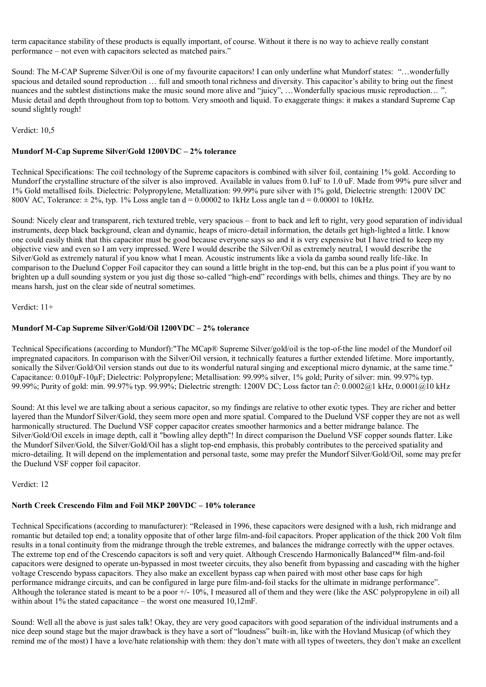term capacitance stability of these products is equally important, of course. Without it there is no way to achieve really constant performance – not even with capacitors selected as matched pairs."

Sound: The M-CAP Supreme Silver/Oil is one of my favourite capacitors! I can only underline what Mundorf states: "…wonderfully spacious and detailed sound reproduction … full and smooth tonal richness and diversity. This capacitor's ability to bring out the finest nuances and the subtlest distinctions make the music sound more alive and "juicy", ...Wonderfully spacious music reproduction... ". Music detail and depth throughout from top to bottom. Very smooth and liquid. To exaggerate things: it makes a standard Supreme Cap sound slightly rough!

Verdict: 10,5

#### **Mundorf M-Cap Supreme Silver/Gold 1200VDC – 2% tolerance**

Technical Specifications: The coil technology of the Supreme capacitors is combined with silver foil, containing 1% gold. According to Mundorf the crystalline structure of the silver is also improved. Available in values from 0.1uF to 1.0 uF. Made from 99% pure silver and 1% Gold metallised foils. Dielectric: Polypropylene, Metallization: 99.99% pure silver with 1% gold, Dielectric strength: 1200V DC 800V AC, Tolerance:  $\pm 2\%$ , typ. 1% Loss angle tan d = 0.00002 to 1kHz Loss angle tan d = 0.00001 to 10kHz.

Sound: Nicely clear and transparent, rich textured treble, very spacious – front to back and left to right, very good separation of individual instruments, deep black background, clean and dynamic, heaps of micro-detail information, the details get high-lighted a little. I know one could easily think that this capacitor must be good because everyone says so and it is very expensive but I have tried to keep my objective view and even so I am very impressed. Were I would describe the Silver/Oil as extremely neutral, I would describe the Silver/Gold as extremely natural if you know what I mean. Acoustic instruments like a viola da gamba sound really life-like. In comparison to the Duelund Copper Foil capacitor they can sound a little bright in the top-end, but this can be a plus point if you want to brighten up a dull sounding system or you just dig those so-called "high-end" recordings with bells, chimes and things. They are by no means harsh, just on the clear side of neutral sometimes.

Verdict: 11+

#### **Mundorf M-Cap Supreme Silver/Gold/Oil 1200VDC – 2% tolerance**

Technical Specifications (according to Mundorf):"The MCap® Supreme Silver/gold/oil is the top-of-the line model of the Mundorf oil impregnated capacitors. In comparison with the Silver/Oil version, it technically features a further extended lifetime. More importantly, sonically the Silver/Gold/Oil version stands out due to its wonderful natural singing and exceptional micro dynamic, at the same time." Capacitance: 0.010μF-10μF; Dielectric: Polypropylene; Metallisation: 99.99% silver, 1% gold; Purity of silver: min. 99.97% typ. 99.99%; Purity of gold: min. 99.97% typ. 99.99%; Dielectric strength: 1200V DC; Loss factor tan ∂: 0.0002@1 kHz, 0.0001@10 kHz

Sound: At this level we are talking about a serious capacitor, so my findings are relative to other exotic types. They are richer and better layered than the Mundorf Silver/Gold, they seem more open and more spatial. Compared to the Duelund VSF copper they are not as well harmonically structured. The Duelund VSF copper capacitor creates smoother harmonics and a better midrange balance. The Silver/Gold/Oil excels in image depth, call it "bowling alley depth"! In direct comparison the Duelund VSF copper sounds flatter. Like the Mundorf Silver/Gold, the Silver/Gold/Oil has a slight top-end emphasis, this probably contributes to the perceived spatiality and micro-detailing. It will depend on the implementation and personal taste, some may prefer the Mundorf Silver/Gold/Oil, some may prefer the Duelund VSF copper foil capacitor.

Verdict: 12

# **North Creek Crescendo Film and Foil MKP 200VDC – 10% tolerance**

Technical Specifications (according to manufacturer): "Released in 1996, these capacitors were designed with a lush, rich midrange and romantic but detailed top end; a tonality opposite that of other large film-and-foil capacitors. Proper application of the thick 200 Volt film results in a tonal continuity from the midrange through the treble extremes, and balances the midrange correctly with the upper octaves. The extreme top end of the Crescendo capacitors is soft and very quiet. Although Crescendo Harmonically Balanced™ film-and-foil capacitors were designed to operate un-bypassed in most tweeter circuits, they also benefit from bypassing and cascading with the higher voltage Crescendo bypass capacitors. They also make an excellent bypass cap when paired with most other base caps for high performance midrange circuits, and can be configured in large pure film-and-foil stacks for the ultimate in midrange performance". Although the tolerance stated is meant to be a poor +/- 10%, I measured all of them and they were (like the ASC polypropylene in oil) all within about 1% the stated capacitance – the worst one measured 10,12mF.

Sound: Well all the above is just sales talk! Okay, they are very good capacitors with good separation of the individual instruments and a nice deep sound stage but the major drawback is they have a sort of "loudness" built-in, like with the Hovland Musicap (of which they remind me of the most) I have a love/hate relationship with them: they don't mate with all types of tweeters, they don't make an excellent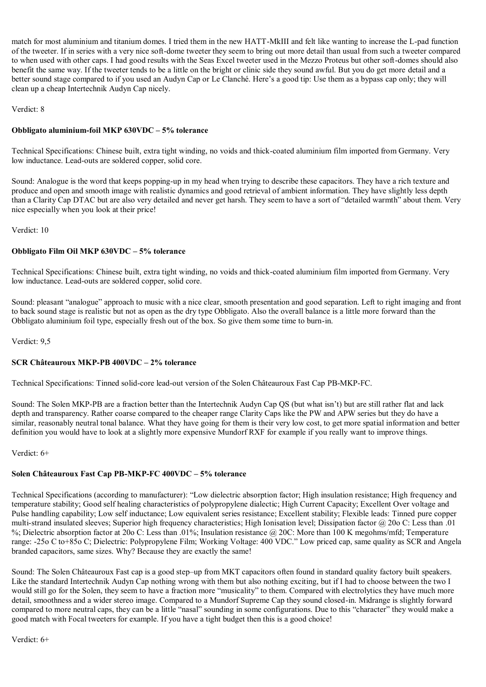match for most aluminium and titanium domes. I tried them in the new HATT-MkIII and felt like wanting to increase the L-pad function of the tweeter. If in series with a very nice soft-dome tweeter they seem to bring out more detail than usual from such a tweeter compared to when used with other caps. I had good results with the Seas Excel tweeter used in the Mezzo Proteus but other soft-domes should also benefit the same way. If the tweeter tends to be a little on the bright or clinic side they sound awful. But you do get more detail and a better sound stage compared to if you used an Audyn Cap or Le Clanché. Here's a good tip: Use them as a bypass cap only; they will clean up a cheap Intertechnik Audyn Cap nicely.

Verdict: 8

# **Obbligato aluminium-foil MKP 630VDC – 5% tolerance**

Technical Specifications: Chinese built, extra tight winding, no voids and thick-coated aluminium film imported from Germany. Very low inductance. Lead-outs are soldered copper, solid core.

Sound: Analogue is the word that keeps popping-up in my head when trying to describe these capacitors. They have a rich texture and produce and open and smooth image with realistic dynamics and good retrieval of ambient information. They have slightly less depth than a Clarity Cap DTAC but are also very detailed and never get harsh. They seem to have a sort of "detailed warmth" about them. Very nice especially when you look at their price!

Verdict: 10

# **Obbligato Film Oil MKP 630VDC – 5% tolerance**

Technical Specifications: Chinese built, extra tight winding, no voids and thick-coated aluminium film imported from Germany. Very low inductance. Lead-outs are soldered copper, solid core.

Sound: pleasant "analogue" approach to music with a nice clear, smooth presentation and good separation. Left to right imaging and front to back sound stage is realistic but not as open as the dry type Obbligato. Also the overall balance is a little more forward than the Obbligato aluminium foil type, especially fresh out of the box. So give them some time to burn-in.

Verdict: 9,5

# **SCR Châteauroux MKP-PB 400VDC – 2% tolerance**

Technical Specifications: Tinned solid-core lead-out version of the Solen Châteauroux Fast Cap PB-MKP-FC.

Sound: The Solen MKP-PB are a fraction better than the Intertechnik Audyn Cap QS (but what isn't) but are still rather flat and lack depth and transparency. Rather coarse compared to the cheaper range Clarity Caps like the PW and APW series but they do have a similar, reasonably neutral tonal balance. What they have going for them is their very low cost, to get more spatial information and better definition you would have to look at a slightly more expensive Mundorf RXF for example if you really want to improve things.

Verdict: 6+

# **Solen Châteauroux Fast Cap PB-MKP-FC 400VDC – 5% tolerance**

Technical Specifications (according to manufacturer): "Low dielectric absorption factor; High insulation resistance; High frequency and temperature stability; Good self healing characteristics of polypropylene dialectic; High Current Capacity; Excellent Over voltage and Pulse handling capability; Low self inductance; Low equivalent series resistance; Excellent stability; Flexible leads: Tinned pure copper multi-strand insulated sleeves; Superior high frequency characteristics; High Ionisation level; Dissipation factor @ 20o C: Less than .01 %; Dielectric absorption factor at 20o C: Less than .01%; Insulation resistance @ 20C: More than 100 K megohms/mfd; Temperature range: -25o C to+85o C; Dielectric: Polypropylene Film; Working Voltage: 400 VDC." Low priced cap, same quality as SCR and Angela branded capacitors, same sizes. Why? Because they are exactly the same!

Sound: The Solen Châteauroux Fast cap is a good step–up from MKT capacitors often found in standard quality factory built speakers. Like the standard Intertechnik Audyn Cap nothing wrong with them but also nothing exciting, but if I had to choose between the two I would still go for the Solen, they seem to have a fraction more "musicality" to them. Compared with electrolytics they have much more detail, smoothness and a wider stereo image. Compared to a Mundorf Supreme Cap they sound closed-in. Midrange is slightly forward compared to more neutral caps, they can be a little "nasal" sounding in some configurations. Due to this "character" they would make a good match with Focal tweeters for example. If you have a tight budget then this is a good choice!

Verdict: 6+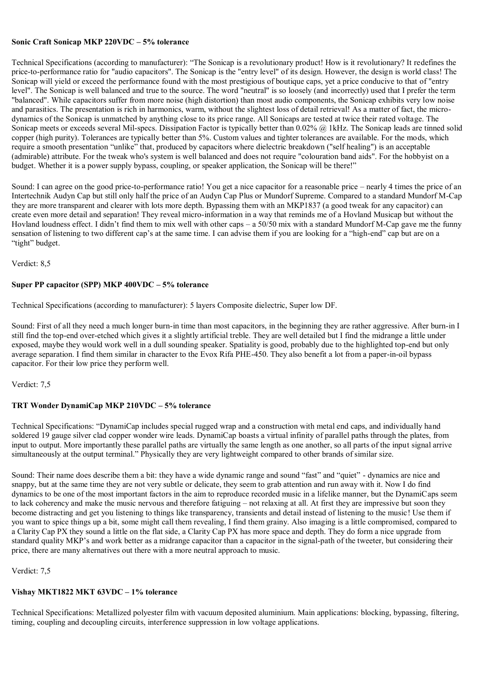#### **Sonic Craft Sonicap MKP 220VDC – 5% tolerance**

Technical Specifications (according to manufacturer): "The Sonicap is a revolutionary product! How is it revolutionary? It redefines the price-to-performance ratio for "audio capacitors". The Sonicap is the "entry level" of its design. However, the design is world class! The Sonicap will yield or exceed the performance found with the most prestigious of boutique caps, yet a price conducive to that of "entry level". The Sonicap is well balanced and true to the source. The word "neutral" is so loosely (and incorrectly) used that I prefer the term "balanced". While capacitors suffer from more noise (high distortion) than most audio components, the Sonicap exhibits very low noise and parasitics. The presentation is rich in harmonics, warm, without the slightest loss of detail retrieval! As a matter of fact, the microdynamics of the Sonicap is unmatched by anything close to its price range. All Sonicaps are tested at twice their rated voltage. The Sonicap meets or exceeds several Mil-specs. Dissipation Factor is typically better than 0.02% @ 1kHz. The Sonicap leads are tinned solid copper (high purity). Tolerances are typically better than 5%. Custom values and tighter tolerances are available. For the mods, which require a smooth presentation "unlike" that, produced by capacitors where dielectric breakdown ("self healing") is an acceptable (admirable) attribute. For the tweak who's system is well balanced and does not require "colouration band aids". For the hobbyist on a budget. Whether it is a power supply bypass, coupling, or speaker application, the Sonicap will be there!"

Sound: I can agree on the good price-to-performance ratio! You get a nice capacitor for a reasonable price – nearly 4 times the price of an Intertechnik Audyn Cap but still only half the price of an Audyn Cap Plus or Mundorf Supreme. Compared to a standard Mundorf M-Cap they are more transparent and clearer with lots more depth. Bypassing them with an MKP1837 (a good tweak for any capacitor) can create even more detail and separation! They reveal micro-information in a way that reminds me of a Hovland Musicap but without the Hovland loudness effect. I didn't find them to mix well with other caps – a 50/50 mix with a standard Mundorf M-Cap gave me the funny sensation of listening to two different cap's at the same time. I can advise them if you are looking for a "high-end" cap but are on a "tight" budget.

Verdict: 8,5

#### **Super PP capacitor (SPP) MKP 400VDC – 5% tolerance**

Technical Specifications (according to manufacturer): 5 layers Composite dielectric, Super low DF.

Sound: First of all they need a much longer burn-in time than most capacitors, in the beginning they are rather aggressive. After burn-in I still find the top-end over-etched which gives it a slightly artificial treble. They are well detailed but I find the midrange a little under exposed, maybe they would work well in a dull sounding speaker. Spatiality is good, probably due to the highlighted top-end but only average separation. I find them similar in character to the Evox Rifa PHE-450. They also benefit a lot from a paper-in-oil bypass capacitor. For their low price they perform well.

Verdict: 7,5

#### **TRT Wonder DynamiCap MKP 210VDC – 5% tolerance**

Technical Specifications: "DynamiCap includes special rugged wrap and a construction with metal end caps, and individually hand soldered 19 gauge silver clad copper wonder wire leads. DynamiCap boasts a virtual infinity of parallel paths through the plates, from input to output. More importantly these parallel paths are virtually the same length as one another, so all parts of the input signal arrive simultaneously at the output terminal." Physically they are very lightweight compared to other brands of similar size.

Sound: Their name does describe them a bit: they have a wide dynamic range and sound "fast" and "quiet" - dynamics are nice and snappy, but at the same time they are not very subtle or delicate, they seem to grab attention and run away with it. Now I do find dynamics to be one of the most important factors in the aim to reproduce recorded music in a lifelike manner, but the DynamiCaps seem to lack coherency and make the music nervous and therefore fatiguing – not relaxing at all. At first they are impressive but soon they become distracting and get you listening to things like transparency, transients and detail instead of listening to the music! Use them if you want to spice things up a bit, some might call them revealing, I find them grainy. Also imaging is a little compromised, compared to a Clarity Cap PX they sound a little on the flat side, a Clarity Cap PX has more space and depth. They do form a nice upgrade from standard quality MKP's and work better as a midrange capacitor than a capacitor in the signal-path of the tweeter, but considering their price, there are many alternatives out there with a more neutral approach to music.

Verdict: 7,5

# **Vishay MKT1822 MKT 63VDC – 1% tolerance**

Technical Specifications: Metallized polyester film with vacuum deposited aluminium. Main applications: blocking, bypassing, filtering, timing, coupling and decoupling circuits, interference suppression in low voltage applications.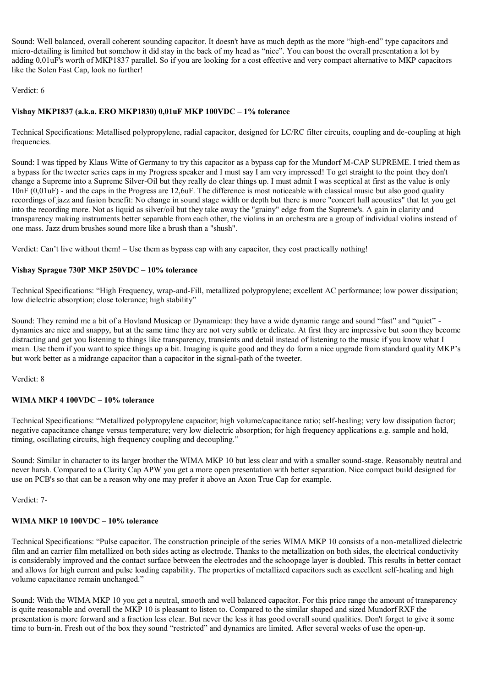Sound: Well balanced, overall coherent sounding capacitor. It doesn't have as much depth as the more "high-end" type capacitors and micro-detailing is limited but somehow it did stay in the back of my head as "nice". You can boost the overall presentation a lot by adding 0,01uF's worth of MKP1837 parallel. So if you are looking for a cost effective and very compact alternative to MKP capacitors like the Solen Fast Cap, look no further!

# Verdict: 6

# **Vishay MKP1837 (a.k.a. ERO MKP1830) 0,01uF MKP 100VDC – 1% tolerance**

Technical Specifications: Metallised polypropylene, radial capacitor, designed for LC/RC filter circuits, coupling and de-coupling at high frequencies.

Sound: I was tipped by Klaus Witte of Germany to try this capacitor as a bypass cap for the Mundorf M-CAP SUPREME. I tried them as a bypass for the tweeter series caps in my Progress speaker and I must say I am very impressed! To get straight to the point they don't change a Supreme into a Supreme Silver-Oil but they really do clear things up. I must admit I was sceptical at first as the value is only 10nF (0,01uF) - and the caps in the Progress are 12,6uF. The difference is most noticeable with classical music but also good quality recordings of jazz and fusion benefit: No change in sound stage width or depth but there is more "concert hall acoustics" that let you get into the recording more. Not as liquid as silver/oil but they take away the "grainy" edge from the Supreme's. A gain in clarity and transparency making instruments better separable from each other, the violins in an orchestra are a group of individual violins instead of one mass. Jazz drum brushes sound more like a brush than a "shush".

Verdict: Can't live without them! – Use them as bypass cap with any capacitor, they cost practically nothing!

# **Vishay Sprague 730P MKP 250VDC – 10% tolerance**

Technical Specifications: "High Frequency, wrap-and-Fill, metallized polypropylene; excellent AC performance; low power dissipation; low dielectric absorption; close tolerance; high stability"

Sound: They remind me a bit of a Hovland Musicap or Dynamicap: they have a wide dynamic range and sound "fast" and "quiet" dynamics are nice and snappy, but at the same time they are not very subtle or delicate. At first they are impressive but soon they become distracting and get you listening to things like transparency, transients and detail instead of listening to the music if you know what I mean. Use them if you want to spice things up a bit. Imaging is quite good and they do form a nice upgrade from standard quality MKP's but work better as a midrange capacitor than a capacitor in the signal-path of the tweeter.

Verdict: 8

#### **WIMA MKP 4 100VDC – 10% tolerance**

Technical Specifications: "Metallized polypropylene capacitor; high volume/capacitance ratio; self-healing; very low dissipation factor; negative capacitance change versus temperature; very low dielectric absorption; for high frequency applications e.g. sample and hold, timing, oscillating circuits, high frequency coupling and decoupling."

Sound: Similar in character to its larger brother the WIMA MKP 10 but less clear and with a smaller sound-stage. Reasonably neutral and never harsh. Compared to a Clarity Cap APW you get a more open presentation with better separation. Nice compact build designed for use on PCB's so that can be a reason why one may prefer it above an Axon True Cap for example.

Verdict: 7-

#### **WIMA MKP 10 100VDC – 10% tolerance**

Technical Specifications: "Pulse capacitor. The construction principle of the series WIMA MKP 10 consists of a non-metallized dielectric film and an carrier film metallized on both sides acting as electrode. Thanks to the metallization on both sides, the electrical conductivity is considerably improved and the contact surface between the electrodes and the schoopage layer is doubled. This results in better contact and allows for high current and pulse loading capability. The properties of metallized capacitors such as excellent self-healing and high volume capacitance remain unchanged."

Sound: With the WIMA MKP 10 you get a neutral, smooth and well balanced capacitor. For this price range the amount of transparency is quite reasonable and overall the MKP 10 is pleasant to listen to. Compared to the similar shaped and sized Mundorf RXF the presentation is more forward and a fraction less clear. But never the less it has good overall sound qualities. Don't forget to give it some time to burn-in. Fresh out of the box they sound "restricted" and dynamics are limited. After several weeks of use the open-up.